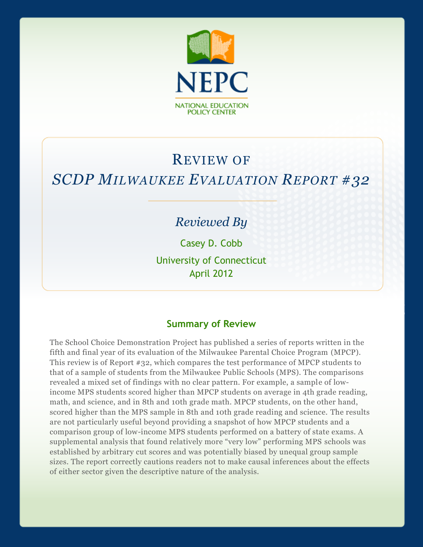

# REVIEW OF *SCDP MILWAUKEE EVALUATION REPORT #32*

## *Reviewed By*

Casey D. Cobb

University of Connecticut April 2012

#### **Summary of Review**

The School Choice Demonstration Project has published a series of reports written in the fifth and final year of its evaluation of the Milwaukee Parental Choice Program (MPCP). This review is of Report #32, which compares the test performance of MPCP students to that of a sample of students from the Milwaukee Public Schools (MPS). The comparisons revealed a mixed set of findings with no clear pattern. For example, a sample of lowincome MPS students scored higher than MPCP students on average in 4th grade reading, math, and science, and in 8th and 10th grade math. MPCP students, on the other hand, scored higher than the MPS sample in 8th and 10th grade reading and science. The results are not particularly useful beyond providing a snapshot of how MPCP students and a comparison group of low-income MPS students performed on a battery of state exams. A supplemental analysis that found relatively more "very low" performing MPS schools was established by arbitrary cut scores and was potentially biased by unequal group sample sizes. The report correctly cautions readers not to make causal inferences about the effects of either sector given the descriptive nature of the analysis.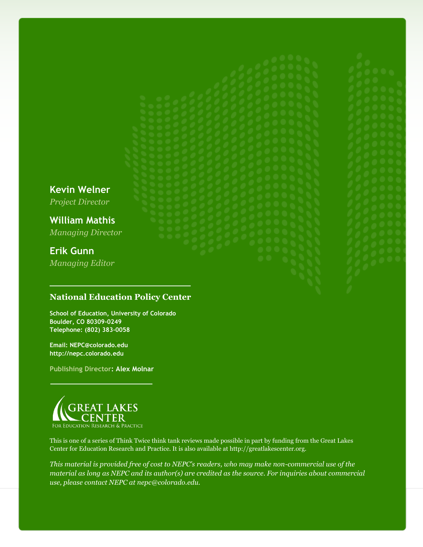**Kevin Welner**

*Project Director*

**William Mathis** *Managing Director*

## **Erik Gunn**

*Managing Editor*

#### **National Education Policy Center**

**School of Education, University of Colorado Boulder, CO 80309-0249 Telephone: (802) 383-0058**

**Email: NEPC@colorado.edu http://nepc.colorado.edu**

**Publishing Director: Alex Molnar**



This is one of a series of Think Twice think tank reviews made possible in part by funding from the Great Lakes Center for Education Research and Practice. It is also available at http://greatlakescenter.org.

*This material is provided free of cost to NEPC's readers, who may make non-commercial use of the material as long as NEPC and its author(s) are credited as the source. For inquiries about commercial use, please contact NEPC at nepc@colorado.edu.*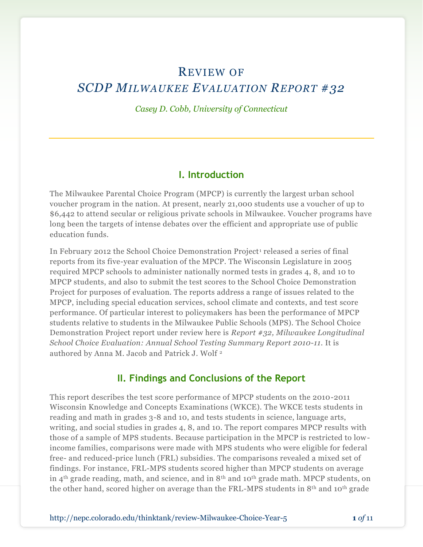## REVIEW OF *SCDP MILWAUKEE EVALUATION REPORT #32*

*Casey D. Cobb, University of Connecticut*

#### **I. Introduction**

The Milwaukee Parental Choice Program (MPCP) is currently the largest urban school voucher program in the nation. At present, nearly 21,000 students use a voucher of up to \$6,442 to attend secular or religious private schools in Milwaukee. Voucher programs have long been the targets of intense debates over the efficient and appropriate use of public education funds.

In February 2012 the School Choice Demonstration Project<sup>1</sup> released a series of final reports from its five-year evaluation of the MPCP. The Wisconsin Legislature in 2005 required MPCP schools to administer nationally normed tests in grades 4, 8, and 10 to MPCP students, and also to submit the test scores to the School Choice Demonstration Project for purposes of evaluation. The reports address a range of issues related to the MPCP, including special education services, school climate and contexts, and test score performance. Of particular interest to policymakers has been the performance of MPCP students relative to students in the Milwaukee Public Schools (MPS). The School Choice Demonstration Project report under review here is *Report #32, Milwaukee Longitudinal School Choice Evaluation: Annual School Testing Summary Report 2010-11*. It is authored by Anna M. Jacob and Patrick J. Wolf <sup>2</sup>

#### **II. Findings and Conclusions of the Report**

This report describes the test score performance of MPCP students on the 2010-2011 Wisconsin Knowledge and Concepts Examinations (WKCE). The WKCE tests students in reading and math in grades 3-8 and 10, and tests students in science, language arts, writing, and social studies in grades 4, 8, and 10. The report compares MPCP results with those of a sample of MPS students. Because participation in the MPCP is restricted to lowincome families, comparisons were made with MPS students who were eligible for federal free- and reduced-price lunch (FRL) subsidies. The comparisons revealed a mixed set of findings. For instance, FRL-MPS students scored higher than MPCP students on average in 4th grade reading, math, and science, and in 8th and 10th grade math. MPCP students, on the other hand, scored higher on average than the FRL-MPS students in  $8<sup>th</sup>$  and 10<sup>th</sup> grade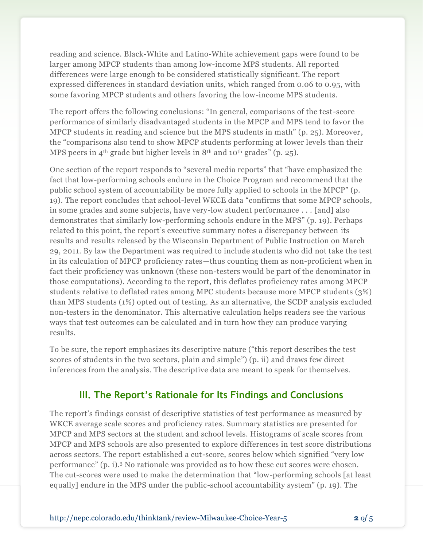reading and science. Black-White and Latino-White achievement gaps were found to be larger among MPCP students than among low-income MPS students. All reported differences were large enough to be considered statistically significant. The report expressed differences in standard deviation units, which ranged from 0.06 to 0.95, with some favoring MPCP students and others favoring the low-income MPS students.

The report offers the following conclusions: "In general, comparisons of the test-score performance of similarly disadvantaged students in the MPCP and MPS tend to favor the MPCP students in reading and science but the MPS students in math" (p. 25). Moreover , the "comparisons also tend to show MPCP students performing at lower levels than their MPS peers in 4<sup>th</sup> grade but higher levels in  $8<sup>th</sup>$  and  $10<sup>th</sup>$  grades" (p. 25).

One section of the report responds to "several media reports" that "have emphasized the fact that low-performing schools endure in the Choice Program and recommend that the public school system of accountability be more fully applied to schools in the MPCP" (p. 19). The report concludes that school-level WKCE data "confirms that some MPCP schools, in some grades and some subjects, have very-low student performance . . . [and] also demonstrates that similarly low-performing schools endure in the MPS" (p. 19). Perhaps related to this point, the report's executive summary notes a discrepancy between its results and results released by the Wisconsin Department of Public Instruction on March 29, 2011. By law the Department was required to include students who did not take the test in its calculation of MPCP proficiency rates—thus counting them as non-proficient when in fact their proficiency was unknown (these non-testers would be part of the denominator in those computations). According to the report, this deflates proficiency rates among MPCP students relative to deflated rates among MPC students because more MPCP students (3%) than MPS students (1%) opted out of testing. As an alternative, the SCDP analysis excluded non-testers in the denominator. This alternative calculation helps readers see the various ways that test outcomes can be calculated and in turn how they can produce varying results.

To be sure, the report emphasizes its descriptive nature ("this report describes the test scores of students in the two sectors, plain and simple") (p. ii) and draws few direct inferences from the analysis. The descriptive data are meant to speak for themselves.

#### **III. The Report's Rationale for Its Findings and Conclusions**

The report's findings consist of descriptive statistics of test performance as measured by WKCE average scale scores and proficiency rates. Summary statistics are presented for MPCP and MPS sectors at the student and school levels. Histograms of scale scores from MPCP and MPS schools are also presented to explore differences in test score distributions across sectors. The report established a cut-score, scores below which signified "very low performance" (p. i).<sup>3</sup> No rationale was provided as to how these cut scores were chosen. The cut-scores were used to make the determination that "low-performing schools [at least equally] endure in the MPS under the public-school accountability system" (p. 19). The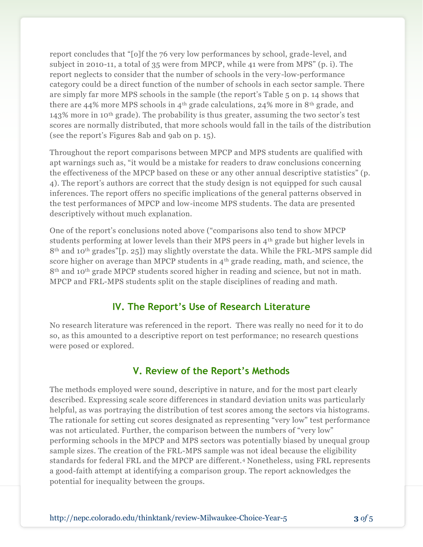report concludes that "[o]f the 76 very low performances by school, grade-level, and subject in 2010-11, a total of 35 were from MPCP, while 41 were from MPS" (p. i). The report neglects to consider that the number of schools in the very-low-performance category could be a direct function of the number of schools in each sector sample. There are simply far more MPS schools in the sample (the report's Table 5 on p. 14 shows that there are 44% more MPS schools in 4<sup>th</sup> grade calculations, 24% more in 8<sup>th</sup> grade, and 143% more in 10th grade). The probability is thus greater, assuming the two sector's test scores are normally distributed, that more schools would fall in the tails of the distribution (see the report's Figures 8ab and 9ab on p. 15).

Throughout the report comparisons between MPCP and MPS students are qualified with apt warnings such as, "it would be a mistake for readers to draw conclusions concerning the effectiveness of the MPCP based on these or any other annual descriptive statistics" (p. 4). The report's authors are correct that the study design is not equipped for such causal inferences. The report offers no specific implications of the general patterns observed in the test performances of MPCP and low-income MPS students. The data are presented descriptively without much explanation.

One of the report's conclusions noted above ("comparisons also tend to show MPCP students performing at lower levels than their MPS peers in  $4<sup>th</sup>$  grade but higher levels in 8th and 10th grades"[p. 25]) may slightly overstate the data. While the FRL-MPS sample did score higher on average than MPCP students in  $4<sup>th</sup>$  grade reading, math, and science, the 8<sup>th</sup> and 10<sup>th</sup> grade MPCP students scored higher in reading and science, but not in math. MPCP and FRL-MPS students split on the staple disciplines of reading and math.

#### **IV. The Report's Use of Research Literature**

No research literature was referenced in the report. There was really no need for it to do so, as this amounted to a descriptive report on test performance; no research questions were posed or explored.

#### **V. Review of the Report's Methods**

The methods employed were sound, descriptive in nature, and for the most part clearly described. Expressing scale score differences in standard deviation units was particularly helpful, as was portraying the distribution of test scores among the sectors via histograms. The rationale for setting cut scores designated as representing "very low" test performance was not articulated. Further, the comparison between the numbers of "very low" performing schools in the MPCP and MPS sectors was potentially biased by unequal group sample sizes. The creation of the FRL-MPS sample was not ideal because the eligibility standards for federal FRL and the MPCP are different.<sup>4</sup> Nonetheless, using FRL represents a good-faith attempt at identifying a comparison group. The report acknowledges the potential for inequality between the groups.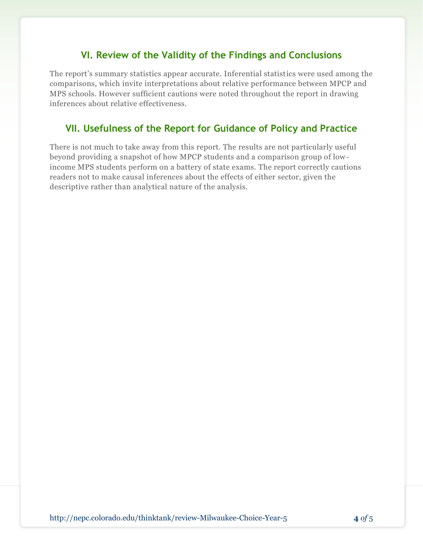#### **VI. Review of the Validity of the Findings and Conclusions**

The report's summary statistics appear accurate. Inferential statistics were used among the comparisons, which invite interpretations about relative performance between MPCP and MPS schools. However sufficient cautions were noted throughout the report in drawing inferences about relative effectiveness.

### **VII. Usefulness of the Report for Guidance of Policy and Practice**

There is not much to take away from this report. The results are not particularly useful beyond providing a snapshot of how MPCP students and a comparison group of lowincome MPS students perform on a battery of state exams. The report correctly cautions readers not to make causal inferences about the effects of either sector, given the descriptive rather than analytical nature of the analysis.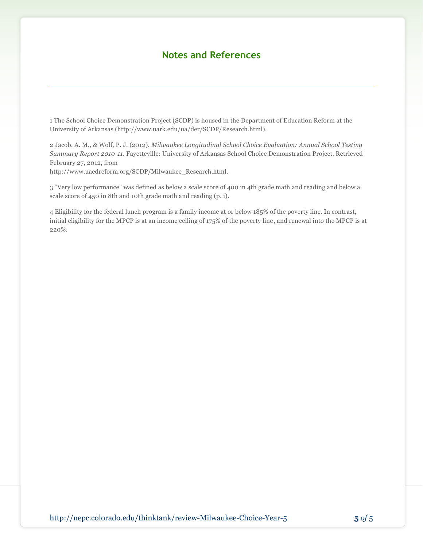#### **Notes and References**

1 The School Choice Demonstration Project (SCDP) is housed in the Department of Education Reform at the University of Arkansas (http://www.uark.edu/ua/der/SCDP/Research.html).

2 Jacob, A. M., & Wolf, P. J. (2012). *Milwaukee Longitudinal School Choice Evaluation: Annual School Testing Summary Report 2010-11.* Fayetteville: University of Arkansas School Choice Demonstration Project. Retrieved February 27, 2012, from http://www.uaedreform.org/SCDP/Milwaukee\_Research.html.

3 "Very low performance" was defined as below a scale score of 400 in 4th grade math and reading and below a scale score of 450 in 8th and 10th grade math and reading (p. i).

4 Eligibility for the federal lunch program is a family income at or below 185% of the poverty line. In contrast, initial eligibility for the MPCP is at an income ceiling of 175% of the poverty line, and renewal into the MPCP is at 220%.